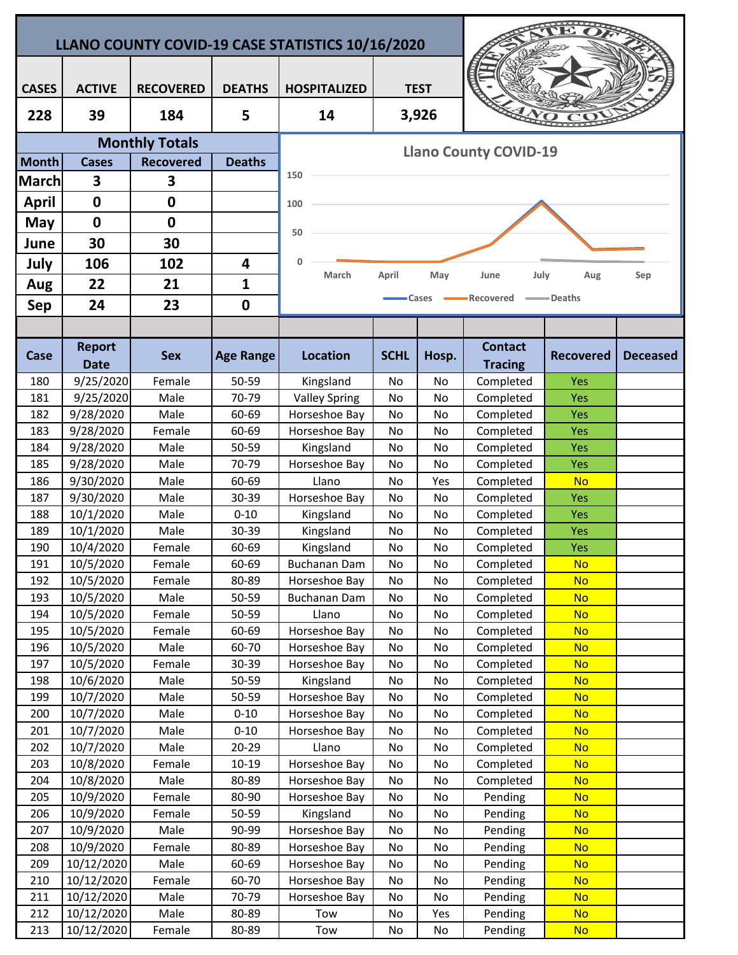| LLANO COUNTY COVID-19 CASE STATISTICS 10/16/2020 |                              |                       |                  |                                |             |           |                                  |                        |                 |  |  |  |
|--------------------------------------------------|------------------------------|-----------------------|------------------|--------------------------------|-------------|-----------|----------------------------------|------------------------|-----------------|--|--|--|
|                                                  |                              |                       |                  |                                |             |           |                                  |                        |                 |  |  |  |
| <b>CASES</b>                                     | <b>ACTIVE</b>                | <b>RECOVERED</b>      | <b>DEATHS</b>    | <b>HOSPITALIZED</b>            | <b>TEST</b> |           |                                  |                        |                 |  |  |  |
| 228                                              | 39                           | 184                   | 5                | 14                             |             | 3,926     |                                  |                        |                 |  |  |  |
|                                                  |                              | <b>Monthly Totals</b> |                  |                                |             |           |                                  |                        |                 |  |  |  |
| <b>Month</b>                                     | <b>Cases</b>                 | <b>Recovered</b>      | <b>Deaths</b>    | <b>Llano County COVID-19</b>   |             |           |                                  |                        |                 |  |  |  |
| March                                            | 3                            | 3                     |                  | 150                            |             |           |                                  |                        |                 |  |  |  |
| <b>April</b>                                     | $\mathbf 0$                  | $\mathbf 0$           |                  |                                |             |           |                                  |                        |                 |  |  |  |
| May                                              | $\mathbf 0$                  | $\mathbf 0$           |                  | 100                            |             |           |                                  |                        |                 |  |  |  |
|                                                  |                              |                       |                  | 50                             |             |           |                                  |                        |                 |  |  |  |
| June                                             | 30                           | 30                    |                  |                                |             |           |                                  |                        |                 |  |  |  |
| July                                             | 106                          | 102                   | 4                | $\mathbf{0}$<br>March          | April       | May       | July<br>June                     | Aug                    | Sep             |  |  |  |
| Aug                                              | 22                           | 21                    | 1                |                                |             |           |                                  |                        |                 |  |  |  |
| <b>Sep</b>                                       | 24                           | 23                    | $\mathbf 0$      |                                |             | Cases     | Recovered                        | —— Deaths              |                 |  |  |  |
|                                                  |                              |                       |                  |                                |             |           |                                  |                        |                 |  |  |  |
| Case                                             | <b>Report</b><br><b>Date</b> | <b>Sex</b>            | <b>Age Range</b> | <b>Location</b>                | <b>SCHL</b> | Hosp.     | <b>Contact</b><br><b>Tracing</b> | <b>Recovered</b>       | <b>Deceased</b> |  |  |  |
| 180                                              | 9/25/2020                    | Female                | 50-59            | Kingsland                      | <b>No</b>   | No        | Completed                        | Yes                    |                 |  |  |  |
| 181                                              | 9/25/2020                    | Male                  | 70-79            | <b>Valley Spring</b>           | No          | No        | Completed                        | Yes                    |                 |  |  |  |
| 182                                              | 9/28/2020                    | Male                  | 60-69            | Horseshoe Bay                  | No          | No        | Completed                        | Yes                    |                 |  |  |  |
| 183                                              | 9/28/2020                    | Female                | 60-69            | Horseshoe Bay                  | No          | No        | Completed                        | Yes                    |                 |  |  |  |
| 184                                              | 9/28/2020                    | Male                  | 50-59            | Kingsland                      | No          | No        | Completed                        | Yes                    |                 |  |  |  |
| 185                                              | 9/28/2020                    | Male                  | 70-79            | Horseshoe Bay                  | No          | No        | Completed                        | Yes                    |                 |  |  |  |
| 186                                              | 9/30/2020                    | Male                  | 60-69            | Llano                          | No          | Yes       | Completed                        | <b>No</b>              |                 |  |  |  |
| 187                                              | 9/30/2020                    | Male                  | 30-39            | Horseshoe Bay                  | No          | No        | Completed                        | Yes                    |                 |  |  |  |
| 188                                              | 10/1/2020                    | Male                  | $0 - 10$         | Kingsland                      | No          | No        | Completed                        | Yes                    |                 |  |  |  |
| 189                                              | 10/1/2020                    | Male                  | 30-39            | Kingsland                      | No          | No        | Completed                        | Yes                    |                 |  |  |  |
| 190                                              | 10/4/2020                    | Female                | 60-69            | Kingsland                      | No          | No        | Completed                        | Yes                    |                 |  |  |  |
| 191                                              | 10/5/2020                    | Female                | 60-69            | Buchanan Dam                   | No          | No        | Completed                        | <b>No</b>              |                 |  |  |  |
| 192                                              | 10/5/2020                    | Female<br>Male        | 80-89            | Horseshoe Bay                  | No          | No        | Completed                        | <b>No</b><br><b>No</b> |                 |  |  |  |
| 193<br>194                                       | 10/5/2020<br>10/5/2020       | Female                | 50-59<br>50-59   | Buchanan Dam<br>Llano          | No<br>No    | No<br>No  | Completed<br>Completed           | <b>No</b>              |                 |  |  |  |
| 195                                              | 10/5/2020                    | Female                | 60-69            | Horseshoe Bay                  | No          | No        | Completed                        | <b>No</b>              |                 |  |  |  |
| 196                                              | 10/5/2020                    | Male                  | 60-70            | Horseshoe Bay                  | No          | No        | Completed                        | <b>No</b>              |                 |  |  |  |
| 197                                              | 10/5/2020                    | Female                | 30-39            | Horseshoe Bay                  | No          | No        | Completed                        | <b>No</b>              |                 |  |  |  |
| 198                                              | 10/6/2020                    | Male                  | 50-59            | Kingsland                      | No          | No        | Completed                        | <b>No</b>              |                 |  |  |  |
| 199                                              | 10/7/2020                    | Male                  | 50-59            | Horseshoe Bay                  | No          | No        | Completed                        | <b>No</b>              |                 |  |  |  |
| 200                                              | 10/7/2020                    | Male                  | $0 - 10$         | Horseshoe Bay                  | No          | No        | Completed                        | <b>No</b>              |                 |  |  |  |
| 201                                              | 10/7/2020                    | Male                  | $0 - 10$         | Horseshoe Bay                  | No          | No        | Completed                        | <b>No</b>              |                 |  |  |  |
| 202                                              | 10/7/2020                    | Male                  | $20 - 29$        | Llano                          | No          | No        | Completed                        | <b>No</b>              |                 |  |  |  |
| 203                                              | 10/8/2020                    | Female                | 10-19            | Horseshoe Bay                  | No          | No        | Completed                        | <b>No</b>              |                 |  |  |  |
| 204                                              | 10/8/2020                    | Male                  | 80-89            | Horseshoe Bay                  | No.         | No        | Completed                        | <b>No</b>              |                 |  |  |  |
| 205                                              | 10/9/2020                    | Female                | 80-90            | Horseshoe Bay                  | No          | No        | Pending                          | <b>No</b>              |                 |  |  |  |
| 206                                              | 10/9/2020                    | Female                | 50-59            | Kingsland                      | No          | No        | Pending                          | <b>No</b>              |                 |  |  |  |
| 207                                              | 10/9/2020                    | Male                  | 90-99            | Horseshoe Bay                  | No          | No        | Pending                          | <b>No</b>              |                 |  |  |  |
| 208                                              | 10/9/2020                    | Female                | 80-89            | Horseshoe Bay                  | No          | No        | Pending                          | <b>No</b>              |                 |  |  |  |
| 209                                              | 10/12/2020                   | Male                  | 60-69            | Horseshoe Bay                  | No          | No        | Pending                          | <b>No</b>              |                 |  |  |  |
| 210                                              | 10/12/2020<br>10/12/2020     | Female<br>Male        | 60-70<br>70-79   | Horseshoe Bay<br>Horseshoe Bay | No          | No        | Pending                          | <b>No</b>              |                 |  |  |  |
| 211<br>212                                       | 10/12/2020                   | Male                  | 80-89            | Tow                            | No<br>No    | No<br>Yes | Pending<br>Pending               | <b>No</b><br><b>No</b> |                 |  |  |  |
| 213                                              | 10/12/2020                   | Female                | 80-89            | Tow                            | No          | No        | Pending                          | <b>No</b>              |                 |  |  |  |
|                                                  |                              |                       |                  |                                |             |           |                                  |                        |                 |  |  |  |